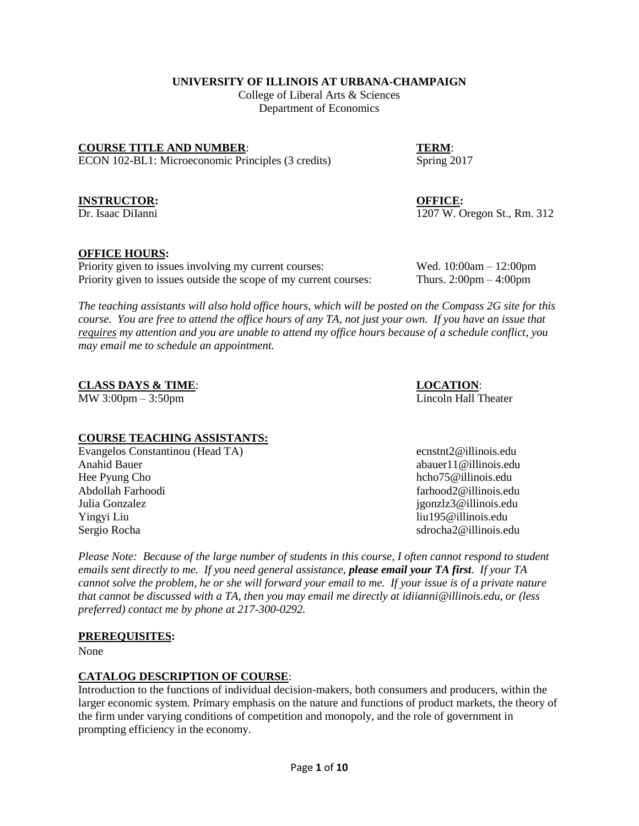**UNIVERSITY OF ILLINOIS AT URBANA-CHAMPAIGN**

College of Liberal Arts & Sciences Department of Economics

**COURSE TITLE AND NUMBER:** TERM: ECON 102-BL1: Microeconomic Principles (3 credits) Spring 2017

#### **INSTRUCTOR: OFFICE:**

Dr. Isaac DiIanni 1207 W. Oregon St., Rm. 312

#### **OFFICE HOURS:**

Priority given to issues involving my current courses: Wed. 10:00am – 12:00pm Priority given to issues outside the scope of my current courses: Thurs. 2:00pm – 4:00pm

*The teaching assistants will also hold office hours, which will be posted on the Compass 2G site for this course. You are free to attend the office hours of any TA, not just your own. If you have an issue that requires my attention and you are unable to attend my office hours because of a schedule conflict, you may email me to schedule an appointment.*

**CLASS DAYS & TIME**: **LOCATION**:

MW 3:00pm – 3:50pm Lincoln Hall Theater

# **COURSE TEACHING ASSISTANTS:**

Evangelos Constantinou (Head TA) ecnstnt2@illinois.edu Anahid Bauer abauer abauer abauer abauer abauer abauer abauer abauer abauer abauer abauer abauer abauer abauer Hee Pyung Cho https://www.indu.com/hcho75@illinois.edu/hcho75@illinois.edu Abdollah Farhoodi **farhoodi** farhood **farhood farhood farhood** *farhood farhood farhood farhood farhood farhood farhood farhood farhood <i>farhood <i>farhood***</u> <b>***<i>farhood <i>farho* Julia Gonzalez jgonzlz3@illinois.edu Yingyi Liu liu195@illinois.edu Sergio Rocha solo state and state and state and state and state and state and state state and state and state state and state and state and state and state and state and state and state and state and state and state and st

*Please Note: Because of the large number of students in this course, I often cannot respond to student emails sent directly to me. If you need general assistance, please email your TA first. If your TA cannot solve the problem, he or she will forward your email to me. If your issue is of a private nature that cannot be discussed with a TA, then you may email me directly at idiianni@illinois.edu, or (less preferred) contact me by phone at 217-300-0292.*

#### **PREREQUISITES:**

None

#### **CATALOG DESCRIPTION OF COURSE**:

Introduction to the functions of individual decision-makers, both consumers and producers, within the larger economic system. Primary emphasis on the nature and functions of product markets, the theory of the firm under varying conditions of competition and monopoly, and the role of government in prompting efficiency in the economy.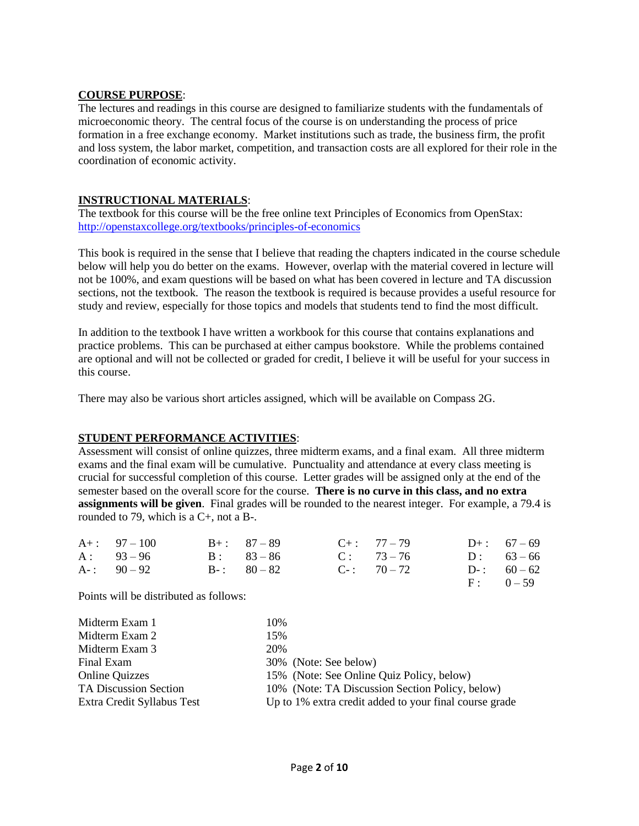#### **COURSE PURPOSE**:

The lectures and readings in this course are designed to familiarize students with the fundamentals of microeconomic theory. The central focus of the course is on understanding the process of price formation in a free exchange economy. Market institutions such as trade, the business firm, the profit and loss system, the labor market, competition, and transaction costs are all explored for their role in the coordination of economic activity.

### **INSTRUCTIONAL MATERIALS**:

The textbook for this course will be the free online text Principles of Economics from OpenStax: <http://openstaxcollege.org/textbooks/principles-of-economics>

This book is required in the sense that I believe that reading the chapters indicated in the course schedule below will help you do better on the exams. However, overlap with the material covered in lecture will not be 100%, and exam questions will be based on what has been covered in lecture and TA discussion sections, not the textbook. The reason the textbook is required is because provides a useful resource for study and review, especially for those topics and models that students tend to find the most difficult.

In addition to the textbook I have written a workbook for this course that contains explanations and practice problems. This can be purchased at either campus bookstore. While the problems contained are optional and will not be collected or graded for credit, I believe it will be useful for your success in this course.

There may also be various short articles assigned, which will be available on Compass 2G.

### **STUDENT PERFORMANCE ACTIVITIES**:

Assessment will consist of online quizzes, three midterm exams, and a final exam. All three midterm exams and the final exam will be cumulative. Punctuality and attendance at every class meeting is crucial for successful completion of this course. Letter grades will be assigned only at the end of the semester based on the overall score for the course. **There is no curve in this class, and no extra assignments will be given**. Final grades will be rounded to the nearest integer. For example, a 79.4 is rounded to 79, which is a C+, not a B-.

| $A_{+}$ : 97 – 100 | $B_{+}$ : 87 – 89 | $C_{+}$ : 77 – 79 | $D_{+}$ : 67 – 69 |
|--------------------|-------------------|-------------------|-------------------|
| $A: 93-96$         | $B: 83-86$        | $C: 73-76$        | $D: 63-66$        |
| $A-$ : 90 – 92     | $B-$ : 80 – 82    | $C_{-}$ : 70 – 72 | $D-$ : 60 – 62    |
|                    |                   |                   | $F: 0-59$         |

Points will be distributed as follows:

| 10%                                                    |
|--------------------------------------------------------|
| 15%                                                    |
| 20%                                                    |
| 30% (Note: See below)                                  |
| 15% (Note: See Online Quiz Policy, below)              |
| 10% (Note: TA Discussion Section Policy, below)        |
| Up to 1% extra credit added to your final course grade |
|                                                        |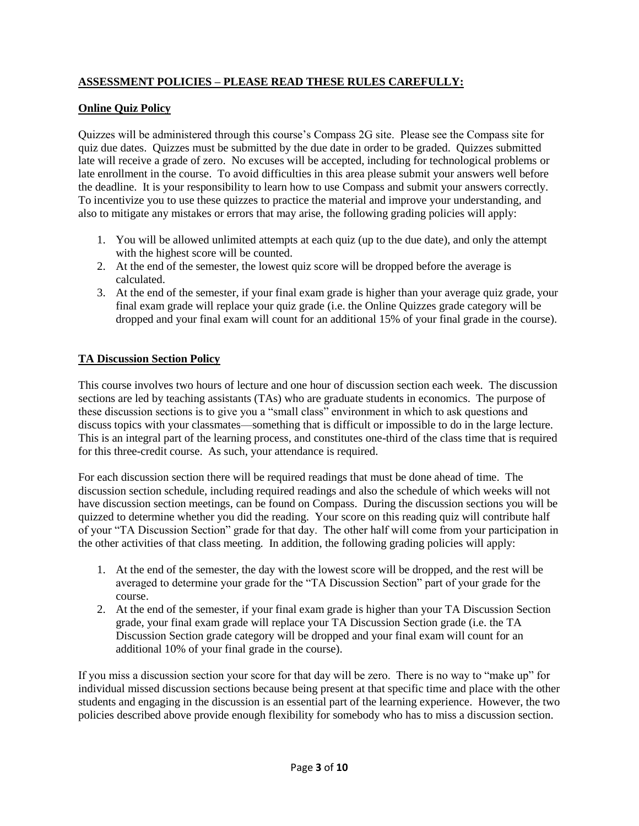## **ASSESSMENT POLICIES – PLEASE READ THESE RULES CAREFULLY:**

### **Online Quiz Policy**

Quizzes will be administered through this course's Compass 2G site. Please see the Compass site for quiz due dates. Quizzes must be submitted by the due date in order to be graded. Quizzes submitted late will receive a grade of zero. No excuses will be accepted, including for technological problems or late enrollment in the course. To avoid difficulties in this area please submit your answers well before the deadline. It is your responsibility to learn how to use Compass and submit your answers correctly. To incentivize you to use these quizzes to practice the material and improve your understanding, and also to mitigate any mistakes or errors that may arise, the following grading policies will apply:

- 1. You will be allowed unlimited attempts at each quiz (up to the due date), and only the attempt with the highest score will be counted.
- 2. At the end of the semester, the lowest quiz score will be dropped before the average is calculated.
- 3. At the end of the semester, if your final exam grade is higher than your average quiz grade, your final exam grade will replace your quiz grade (i.e. the Online Quizzes grade category will be dropped and your final exam will count for an additional 15% of your final grade in the course).

### **TA Discussion Section Policy**

This course involves two hours of lecture and one hour of discussion section each week. The discussion sections are led by teaching assistants (TAs) who are graduate students in economics. The purpose of these discussion sections is to give you a "small class" environment in which to ask questions and discuss topics with your classmates—something that is difficult or impossible to do in the large lecture. This is an integral part of the learning process, and constitutes one-third of the class time that is required for this three-credit course. As such, your attendance is required.

For each discussion section there will be required readings that must be done ahead of time. The discussion section schedule, including required readings and also the schedule of which weeks will not have discussion section meetings, can be found on Compass. During the discussion sections you will be quizzed to determine whether you did the reading. Your score on this reading quiz will contribute half of your "TA Discussion Section" grade for that day. The other half will come from your participation in the other activities of that class meeting. In addition, the following grading policies will apply:

- 1. At the end of the semester, the day with the lowest score will be dropped, and the rest will be averaged to determine your grade for the "TA Discussion Section" part of your grade for the course.
- 2. At the end of the semester, if your final exam grade is higher than your TA Discussion Section grade, your final exam grade will replace your TA Discussion Section grade (i.e. the TA Discussion Section grade category will be dropped and your final exam will count for an additional 10% of your final grade in the course).

If you miss a discussion section your score for that day will be zero. There is no way to "make up" for individual missed discussion sections because being present at that specific time and place with the other students and engaging in the discussion is an essential part of the learning experience. However, the two policies described above provide enough flexibility for somebody who has to miss a discussion section.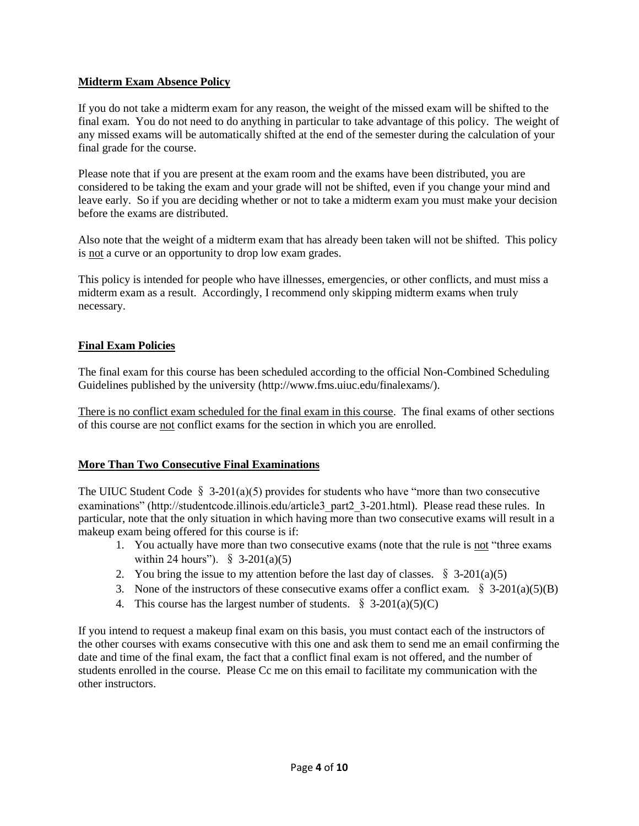### **Midterm Exam Absence Policy**

If you do not take a midterm exam for any reason, the weight of the missed exam will be shifted to the final exam. You do not need to do anything in particular to take advantage of this policy. The weight of any missed exams will be automatically shifted at the end of the semester during the calculation of your final grade for the course.

Please note that if you are present at the exam room and the exams have been distributed, you are considered to be taking the exam and your grade will not be shifted, even if you change your mind and leave early. So if you are deciding whether or not to take a midterm exam you must make your decision before the exams are distributed.

Also note that the weight of a midterm exam that has already been taken will not be shifted. This policy is not a curve or an opportunity to drop low exam grades.

This policy is intended for people who have illnesses, emergencies, or other conflicts, and must miss a midterm exam as a result. Accordingly, I recommend only skipping midterm exams when truly necessary.

#### **Final Exam Policies**

The final exam for this course has been scheduled according to the official Non-Combined Scheduling Guidelines published by the university (http://www.fms.uiuc.edu/finalexams/).

There is no conflict exam scheduled for the final exam in this course. The final exams of other sections of this course are not conflict exams for the section in which you are enrolled.

### **More Than Two Consecutive Final Examinations**

The UIUC Student Code  $\S$  3-201(a)(5) provides for students who have "more than two consecutive examinations" (http://studentcode.illinois.edu/article3\_part2\_3-201.html). Please read these rules. In particular, note that the only situation in which having more than two consecutive exams will result in a makeup exam being offered for this course is if:

- 1. You actually have more than two consecutive exams (note that the rule is not "three exams") within 24 hours").  $\S$  3-201(a)(5)
- 2. You bring the issue to my attention before the last day of classes.  $\S$  3-201(a)(5)
- 3. None of the instructors of these consecutive exams offer a conflict exam.  $\S$  3-201(a)(5)(B)
- 4. This course has the largest number of students.  $\S$  3-201(a)(5)(C)

If you intend to request a makeup final exam on this basis, you must contact each of the instructors of the other courses with exams consecutive with this one and ask them to send me an email confirming the date and time of the final exam, the fact that a conflict final exam is not offered, and the number of students enrolled in the course. Please Cc me on this email to facilitate my communication with the other instructors.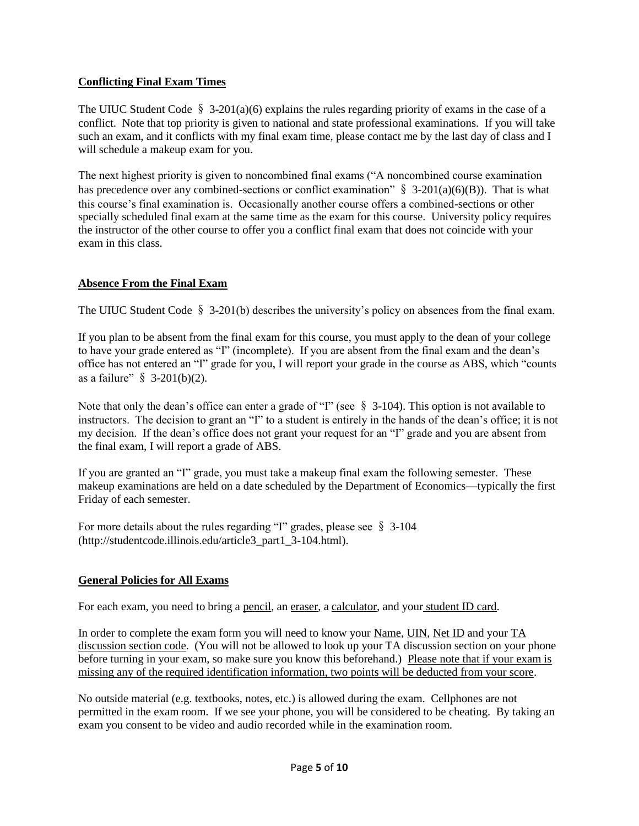### **Conflicting Final Exam Times**

The UIUC Student Code  $\S$  3-201(a)(6) explains the rules regarding priority of exams in the case of a conflict. Note that top priority is given to national and state professional examinations. If you will take such an exam, and it conflicts with my final exam time, please contact me by the last day of class and I will schedule a makeup exam for you.

The next highest priority is given to noncombined final exams ("A noncombined course examination has precedence over any combined-sections or conflict examination"  $\S$  3-201(a)(6)(B)). That is what this course's final examination is. Occasionally another course offers a combined-sections or other specially scheduled final exam at the same time as the exam for this course. University policy requires the instructor of the other course to offer you a conflict final exam that does not coincide with your exam in this class.

### **Absence From the Final Exam**

The UIUC Student Code  $\S$  3-201(b) describes the university's policy on absences from the final exam.

If you plan to be absent from the final exam for this course, you must apply to the dean of your college to have your grade entered as "I" (incomplete). If you are absent from the final exam and the dean's office has not entered an "I" grade for you, I will report your grade in the course as ABS, which "counts as a failure"  $\S$  3-201(b)(2).

Note that only the dean's office can enter a grade of "I" (see  $\S$  3-104). This option is not available to instructors. The decision to grant an "I" to a student is entirely in the hands of the dean's office; it is not my decision. If the dean's office does not grant your request for an "I" grade and you are absent from the final exam, I will report a grade of ABS.

If you are granted an "I" grade, you must take a makeup final exam the following semester. These makeup examinations are held on a date scheduled by the Department of Economics—typically the first Friday of each semester.

For more details about the rules regarding "I" grades, please see § 3-104 (http://studentcode.illinois.edu/article3\_part1\_3-104.html).

### **General Policies for All Exams**

For each exam, you need to bring a pencil, an eraser, a calculator, and your student ID card.

In order to complete the exam form you will need to know your Name, UIN, Net ID and your TA discussion section code. (You will not be allowed to look up your TA discussion section on your phone before turning in your exam, so make sure you know this beforehand.) Please note that if your exam is missing any of the required identification information, two points will be deducted from your score.

No outside material (e.g. textbooks, notes, etc.) is allowed during the exam. Cellphones are not permitted in the exam room. If we see your phone, you will be considered to be cheating. By taking an exam you consent to be video and audio recorded while in the examination room.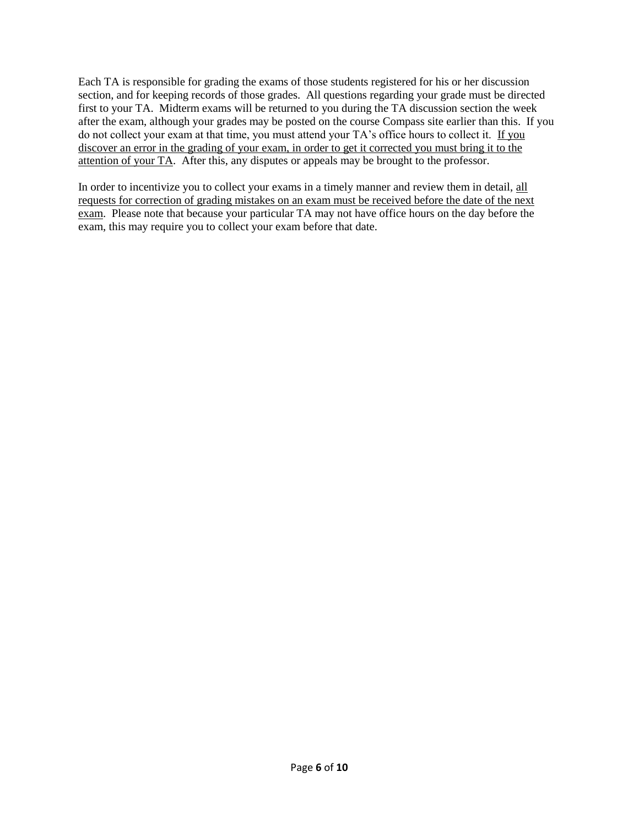Each TA is responsible for grading the exams of those students registered for his or her discussion section, and for keeping records of those grades. All questions regarding your grade must be directed first to your TA. Midterm exams will be returned to you during the TA discussion section the week after the exam, although your grades may be posted on the course Compass site earlier than this. If you do not collect your exam at that time, you must attend your TA's office hours to collect it. If you discover an error in the grading of your exam, in order to get it corrected you must bring it to the attention of your TA. After this, any disputes or appeals may be brought to the professor.

In order to incentivize you to collect your exams in a timely manner and review them in detail, all requests for correction of grading mistakes on an exam must be received before the date of the next exam. Please note that because your particular TA may not have office hours on the day before the exam, this may require you to collect your exam before that date.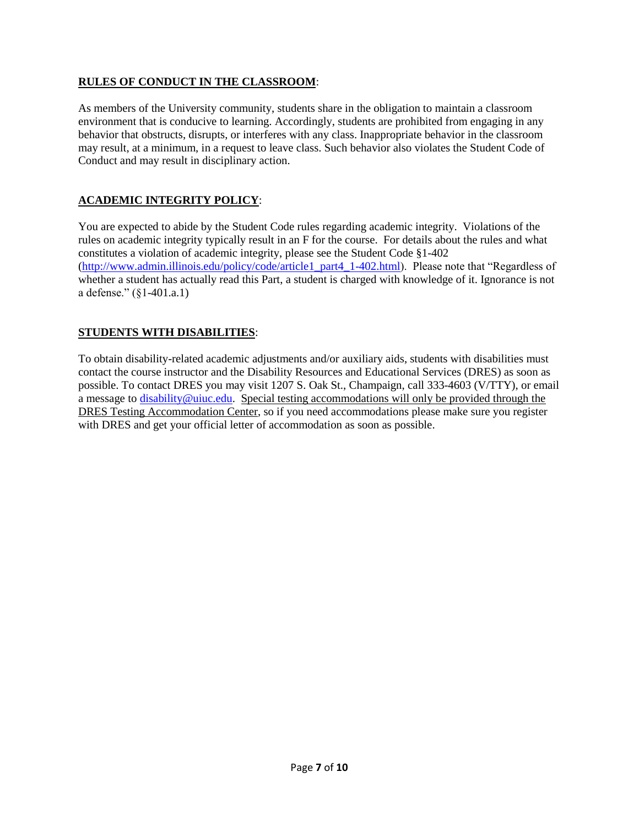### **RULES OF CONDUCT IN THE CLASSROOM**:

As members of the University community, students share in the obligation to maintain a classroom environment that is conducive to learning. Accordingly, students are prohibited from engaging in any behavior that obstructs, disrupts, or interferes with any class. Inappropriate behavior in the classroom may result, at a minimum, in a request to leave class. Such behavior also violates the Student Code of Conduct and may result in disciplinary action.

# **ACADEMIC INTEGRITY POLICY**:

You are expected to abide by the Student Code rules regarding academic integrity. Violations of the rules on academic integrity typically result in an F for the course. For details about the rules and what constitutes a violation of academic integrity, please see the Student Code §1-402 [\(http://www.admin.illinois.edu/policy/code/article1\\_part4\\_1-402.html\)](http://www.admin.illinois.edu/policy/code/article1_part4_1-402.html). Please note that "Regardless of whether a student has actually read this Part, a student is charged with knowledge of it. Ignorance is not a defense." (§1-401.a.1)

# **STUDENTS WITH DISABILITIES**:

To obtain disability-related academic adjustments and/or auxiliary aids, students with disabilities must contact the course instructor and the Disability Resources and Educational Services (DRES) as soon as possible. To contact DRES you may visit 1207 S. Oak St., Champaign, call 333-4603 (V/TTY), or email a message to [disability@uiuc.edu.](mailto:disability@uiuc.edu) Special testing accommodations will only be provided through the DRES Testing Accommodation Center, so if you need accommodations please make sure you register with DRES and get your official letter of accommodation as soon as possible.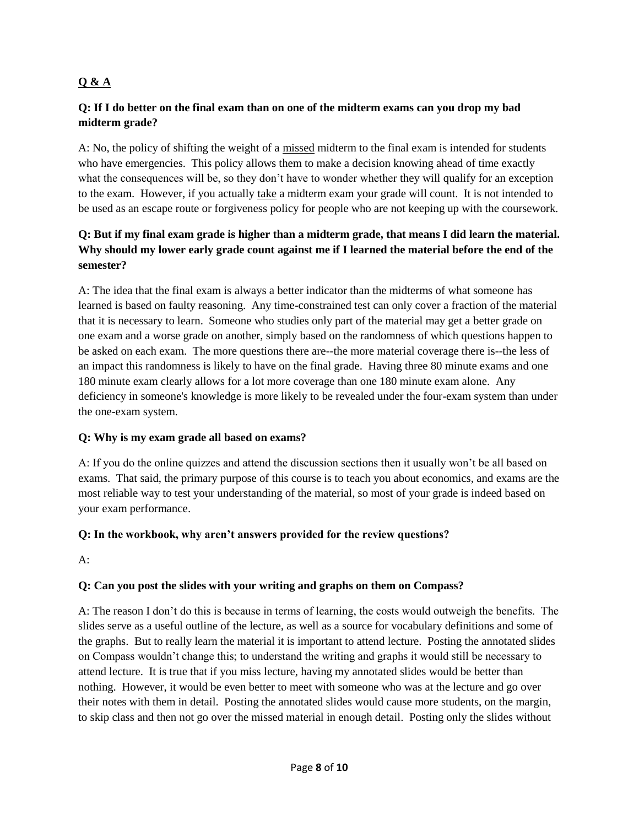# **Q & A**

## **Q: If I do better on the final exam than on one of the midterm exams can you drop my bad midterm grade?**

A: No, the policy of shifting the weight of a missed midterm to the final exam is intended for students who have emergencies. This policy allows them to make a decision knowing ahead of time exactly what the consequences will be, so they don't have to wonder whether they will qualify for an exception to the exam. However, if you actually take a midterm exam your grade will count. It is not intended to be used as an escape route or forgiveness policy for people who are not keeping up with the coursework.

# **Q: But if my final exam grade is higher than a midterm grade, that means I did learn the material. Why should my lower early grade count against me if I learned the material before the end of the semester?**

A: The idea that the final exam is always a better indicator than the midterms of what someone has learned is based on faulty reasoning. Any time-constrained test can only cover a fraction of the material that it is necessary to learn. Someone who studies only part of the material may get a better grade on one exam and a worse grade on another, simply based on the randomness of which questions happen to be asked on each exam. The more questions there are--the more material coverage there is--the less of an impact this randomness is likely to have on the final grade. Having three 80 minute exams and one 180 minute exam clearly allows for a lot more coverage than one 180 minute exam alone. Any deficiency in someone's knowledge is more likely to be revealed under the four-exam system than under the one-exam system.

### **Q: Why is my exam grade all based on exams?**

A: If you do the online quizzes and attend the discussion sections then it usually won't be all based on exams. That said, the primary purpose of this course is to teach you about economics, and exams are the most reliable way to test your understanding of the material, so most of your grade is indeed based on your exam performance.

# **Q: In the workbook, why aren't answers provided for the review questions?**

 $A^{\cdot}$ 

# **Q: Can you post the slides with your writing and graphs on them on Compass?**

A: The reason I don't do this is because in terms of learning, the costs would outweigh the benefits. The slides serve as a useful outline of the lecture, as well as a source for vocabulary definitions and some of the graphs. But to really learn the material it is important to attend lecture. Posting the annotated slides on Compass wouldn't change this; to understand the writing and graphs it would still be necessary to attend lecture. It is true that if you miss lecture, having my annotated slides would be better than nothing. However, it would be even better to meet with someone who was at the lecture and go over their notes with them in detail. Posting the annotated slides would cause more students, on the margin, to skip class and then not go over the missed material in enough detail. Posting only the slides without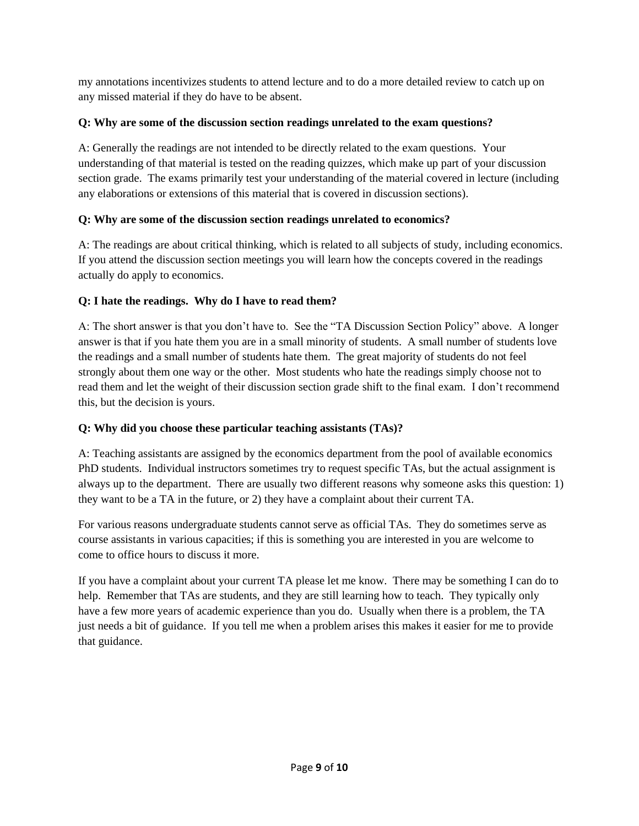my annotations incentivizes students to attend lecture and to do a more detailed review to catch up on any missed material if they do have to be absent.

# **Q: Why are some of the discussion section readings unrelated to the exam questions?**

A: Generally the readings are not intended to be directly related to the exam questions. Your understanding of that material is tested on the reading quizzes, which make up part of your discussion section grade. The exams primarily test your understanding of the material covered in lecture (including any elaborations or extensions of this material that is covered in discussion sections).

# **Q: Why are some of the discussion section readings unrelated to economics?**

A: The readings are about critical thinking, which is related to all subjects of study, including economics. If you attend the discussion section meetings you will learn how the concepts covered in the readings actually do apply to economics.

# **Q: I hate the readings. Why do I have to read them?**

A: The short answer is that you don't have to. See the "TA Discussion Section Policy" above. A longer answer is that if you hate them you are in a small minority of students. A small number of students love the readings and a small number of students hate them. The great majority of students do not feel strongly about them one way or the other. Most students who hate the readings simply choose not to read them and let the weight of their discussion section grade shift to the final exam. I don't recommend this, but the decision is yours.

# **Q: Why did you choose these particular teaching assistants (TAs)?**

A: Teaching assistants are assigned by the economics department from the pool of available economics PhD students. Individual instructors sometimes try to request specific TAs, but the actual assignment is always up to the department. There are usually two different reasons why someone asks this question: 1) they want to be a TA in the future, or 2) they have a complaint about their current TA.

For various reasons undergraduate students cannot serve as official TAs. They do sometimes serve as course assistants in various capacities; if this is something you are interested in you are welcome to come to office hours to discuss it more.

If you have a complaint about your current TA please let me know. There may be something I can do to help. Remember that TAs are students, and they are still learning how to teach. They typically only have a few more years of academic experience than you do. Usually when there is a problem, the TA just needs a bit of guidance. If you tell me when a problem arises this makes it easier for me to provide that guidance.